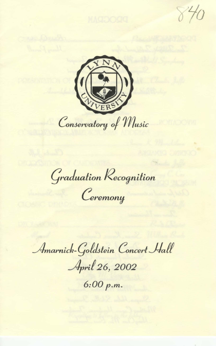$840$ 



Graduation Recognition

Ceremony

Amarnick-Goldstein Concert Hall

April 26, 2002

 $6:00 p.m.$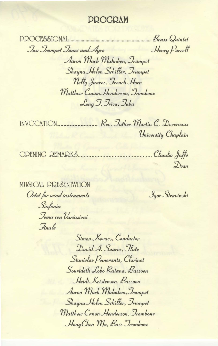## **DDOCDAM**

PROCL&SIONAL Communication of Brass Quintet Jwo Irumpet Junes and Ayre Henry Purcell Aaron Mark Mahnken, Irumpet Shayna Helen Schiller, Trumpet Nelly Juarez, French Horn Matthew Canon Henderson, Trombone

Long J. Trieu, Tuba

University Chaplain

OPENING REMARKS Claudio Jaffé  $\mathcal{D}_{\text{ean}}$ 

MUSICAL PRESENTATION Octet for wind instruments Sinfonia Jema con Variazioni

Finale

Jgor Stravinski

Simon Kovacs, Conductor David A. Suarez, Flute Stanislav Pomerants, Clarinet Sourideth Lobo Ratana, Bassoon Heidi Kristensen, Bassoon Aaron Mark Mahnken, Irumpet Shayna Helen Schiller, Trumpet Matthew Canon Henderson, Trombone Hong Chen Ma, Bass Trombone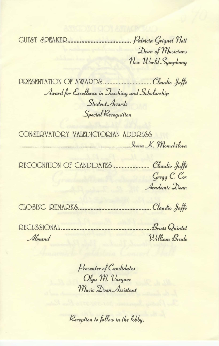Dean of Musicians New World Symphony

Award for Excellence in Jeaching and Scholarship Student Awards Special Recognition

CONSERVATORY VALEDICTORIAN ADDRESS *Srena K. Momchilova* 

RECOGNITION OF CANDIDATES........................... Claudio Jaffé Gregg C. Cox Academic Dean

Almand William Brade

> Presenter of Candidates Olga M. Vazquez Music Dean Assistant

Reception to follow in the lobby.